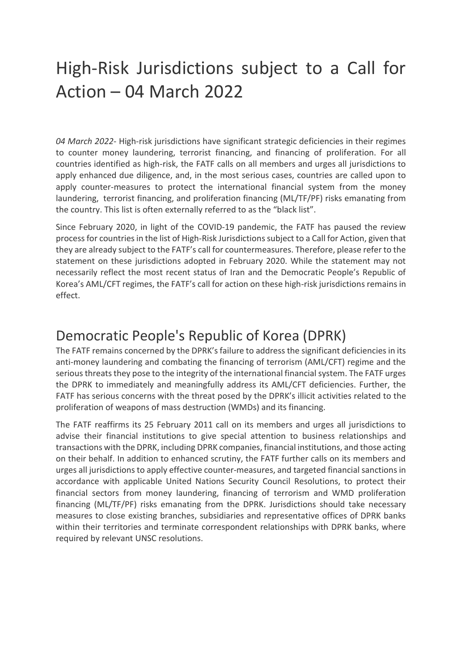## High-Risk Jurisdictions subject to a Call for Action – 04 March 2022

*04 March 2022*- High-risk jurisdictions have significant strategic deficiencies in their regimes to counter money laundering, terrorist financing, and financing of proliferation. For all countries identified as high-risk, the FATF calls on all members and urges all jurisdictions to apply enhanced due diligence, and, in the most serious cases, countries are called upon to apply counter-measures to protect the international financial system from the money laundering, terrorist financing, and proliferation financing (ML/TF/PF) risks emanating from the country. This list is often externally referred to as the "black list".

Since February 2020, in light of the COVID-19 pandemic, the FATF has paused the review process for countries in the list of High-Risk Jurisdictions subject to a Call for Action, given that they are already subject to the FATF's call for countermeasures. Therefore, please refer to the statement on these jurisdictions adopted in February 2020. While the statement may not necessarily reflect the most recent status of Iran and the Democratic People's Republic of Korea's AML/CFT regimes, the FATF's call for action on these high-risk jurisdictions remains in effect.

## Democratic People's Republic of Korea (DPRK)

The FATF remains concerned by the DPRK's failure to address the significant deficiencies in its anti-money laundering and combating the financing of terrorism (AML/CFT) regime and the serious threats they pose to the integrity of the international financial system. The FATF urges the DPRK to immediately and meaningfully address its AML/CFT deficiencies. Further, the FATF has serious concerns with the threat posed by the DPRK's illicit activities related to the proliferation of weapons of mass destruction (WMDs) and its financing.

The FATF reaffirms its 25 February 2011 call on its members and urges all jurisdictions to advise their financial institutions to give special attention to business relationships and transactions with the DPRK, including DPRK companies, financial institutions, and those acting on their behalf. In addition to enhanced scrutiny, the FATF further calls on its members and urges all jurisdictions to apply effective counter-measures, and targeted financial sanctions in accordance with applicable United Nations Security Council Resolutions, to protect their financial sectors from money laundering, financing of terrorism and WMD proliferation financing (ML/TF/PF) risks emanating from the DPRK. Jurisdictions should take necessary measures to close existing branches, subsidiaries and representative offices of DPRK banks within their territories and terminate correspondent relationships with DPRK banks, where required by relevant UNSC resolutions.